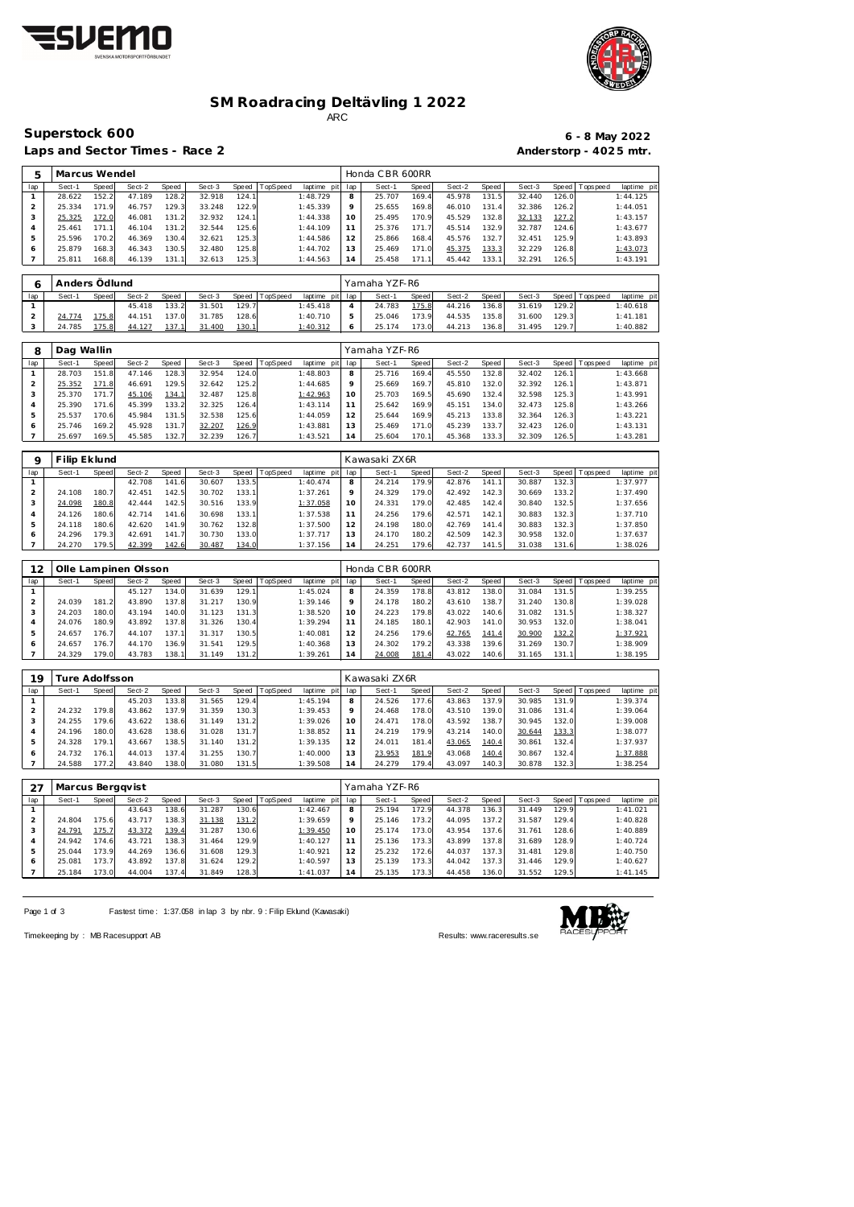



## **SM Roadracing Deltävling 1 2022** ARC

Superstock 600

Laps and Sector Times - Race 2

|                        |  | $6 - 8$ May 2022 |
|------------------------|--|------------------|
| Anderstorp - 4025 mtr. |  |                  |

| 5   | Marcus Wendel |       |        |            |        |       |          |             |     | Honda CBR 600RR |       |        |       |        |       |                |             |
|-----|---------------|-------|--------|------------|--------|-------|----------|-------------|-----|-----------------|-------|--------|-------|--------|-------|----------------|-------------|
| lap | Sect-1        | Speed | Sect-2 | Speed      | Sect-3 | Speed | TopSpeed | laptime pit | lap | Sect-1          | Speed | Sect-2 | Speed | Sect-3 |       | Speed Topspeed | laptime pit |
|     | 28.622        | 152.2 | 47.189 | 128.2      | 32.918 | 124.1 |          | 1:48.729    | 8   | 25.707          | 169.4 | 45.978 | 131.5 | 32.440 | 126.0 |                | 1:44.125    |
|     | 25.334        | 171.9 | 46.757 | 129.3      | 33.248 | 122.9 |          | 1:45.339    | Q   | 25.655          | 169.8 | 46.010 | 131.4 | 32.386 | 126.2 |                | 1:44.051    |
| 3   | 25.325        | 172.0 | 46.081 | 131<br>.2  | 32.932 | 124.1 |          | 1:44.338    | 10  | 25.495          | 70.9  | 45.529 | 132.8 | 32.133 | 127.2 |                | 1:43.157    |
| 4   | 25.461        | 171.1 | 46.104 | 131.2      | 32.544 | 125.6 |          | 1:44.109    |     | 25.376          | 71    | 45.514 | 132.9 | 32.787 | 124.6 |                | 1:43.677    |
| 5   | 25.596        | 170.2 | 46.369 | 130.4      | 32.621 | 125.3 |          | 1:44.586    | 12  | 25.866          | 168.4 | 45.576 | 132.7 | 32.451 | 125.9 |                | 1:43.893    |
| Ô   | 25.879        | 168.3 | 46.343 | 130.5      | 32.480 | 125.8 |          | 1:44.702    | 13  | 25.469          | 171.0 | 45.375 | 133.3 | 32.229 | 126.8 |                | 1:43.073    |
|     | 25.811        | 168.8 | 46.139 | 131<br>. 1 | 32.613 | 125.3 |          | 1:44.563    | 14  | 25.458          | 171.1 | 45.442 | 133.1 | 32.291 | 126.5 |                | 1:43.191    |

|     | l Anders Ödlund |       |        |       |        |       |                 |                 |         | Yamaha YZF-R6 |       |        |       |        |        |                   |             |
|-----|-----------------|-------|--------|-------|--------|-------|-----------------|-----------------|---------|---------------|-------|--------|-------|--------|--------|-------------------|-------------|
| lap | Sect-1          | Speed | Sect-2 | Speed | Sect-3 | Speed | <b>TopSpeed</b> | laptime pit lap |         | Sect-1        | Speed | Sect-2 | Speed | Sect-3 |        | Speed   Tops peed | laptime pit |
|     |                 |       | 45.418 | 133.2 | 31.501 | 129.7 |                 | 1:45.418        |         | 24.783        | 175.8 | 44.216 | 136.8 | 31.619 | 129.2  |                   | 1:40.618    |
|     | 24.774          | 175.8 | 44.151 | 137.0 | 31.785 | 128.6 |                 | 1:40.710        |         | 25.046        | 173.9 | 44.535 | 135.8 | 31.600 | 129.3  |                   | 1: 41.181   |
|     | 24.785          | 175.8 | 44.127 | 137.1 | 31.400 | 130.1 |                 | 1:40.312        | $\circ$ | 25.174        | 173.0 | 44.213 | 136.8 | 31.495 | 129.71 |                   | 1:40.882    |

| 8   | Dag Wallin |       |        |              |        |       |          |                |         | Yamaha YZF-R6 |       |        |       |        |       |                |             |
|-----|------------|-------|--------|--------------|--------|-------|----------|----------------|---------|---------------|-------|--------|-------|--------|-------|----------------|-------------|
| lap | Sect-1     | Speed | Sect-2 | Speed        | Sect-3 | Speed | TopSpeed | laptime<br>pit | lap     | Sect-1        | Speed | Sect-2 | Speed | Sect-3 |       | Speed Topspeed | laptime pit |
|     | 28.703     | 151.8 | 47.146 | 128.3        | 32.954 | 124.0 |          | 1:48.803       | 8       | 25.716        | 169.4 | 45.550 | 132.8 | 32.402 | 126.1 |                | 1:43.668    |
| ∠   | 25.352     | 171.8 | 46.691 | 129.5        | 32.642 | 125.2 |          | 1:44.685       | $\circ$ | 25.669        | 169.7 | 45.810 | 132.0 | 32.392 | 126.1 |                | 1:43.871    |
|     | 25.370     | 171.7 | 45.106 | <u>134.1</u> | 32.487 | 125.8 |          | 1:42.963       | 10      | 25.703        | 169.5 | 45.690 | 132.4 | 32.598 | 125.3 |                | 1:43.991    |
| 4   | 25.390     | 171.6 | 45.399 | 133.2        | 32.325 | 126.4 |          | 1:43.114       |         | 25.642        | 169.9 | 45.151 | 134.0 | 32.473 | 125.8 |                | 1:43.266    |
| 5   | 25.537     | 170.6 | 45.984 | 131.5        | 32.538 | 125.6 |          | 1:44.059       |         | 25.644        | 169.9 | 45.213 | 133.8 | 32.364 | 126.3 |                | 1:43.221    |
|     | 25.746     | 169.2 | 45.928 | 131          | 32.207 | 126.9 |          | 1:43.881       | 13      | 25.469        | 171.0 | 45.239 | 133.7 | 32.423 | 126.0 |                | 1:43.131    |
|     | 25.697     | 169.5 | 45.585 | 132.7        | 32.239 | 126.7 |          | 1:43.521       | 14      | 25.604        | 170.1 | 45.368 | 133.3 | 32.309 | 126.5 |                | 1:43.281    |

| Q   | Filip Eklund |       |        |       |        |       |                 |                |                   | Kawasaki ZX6R |              |        |       |        |       |                 |             |
|-----|--------------|-------|--------|-------|--------|-------|-----------------|----------------|-------------------|---------------|--------------|--------|-------|--------|-------|-----------------|-------------|
| lap | Sect-1       | Speed | Sect-2 | Speed | Sect-3 | Speed | <b>TopSpeed</b> | laptime<br>pit | lap               | Sect-1        | <b>Speed</b> | Sect-2 | Speed | Sect-3 |       | Speed Tops peed | laptime pit |
|     |              |       | 42.708 | 141.6 | 30.607 | 133.5 |                 | 1:40.474       | 8                 | 24.214        | 179.9        | 42.876 | 141.1 | 30.887 | 132.3 |                 | 1:37.977    |
|     | 24.108       | 180.7 | 42.451 | 142.5 | 30.702 | 133.1 |                 | 1:37.261       |                   | 24.329        | 179.0        | 42.492 | 142.3 | 30.669 | 133.2 |                 | 1:37.490    |
| З   | 24.098       | 180.8 | 42.444 | 142.5 | 30.516 | 133.9 |                 | 1:37.058       | 10                | 24.331        | 179.0        | 42.485 | 142.4 | 30.840 | 132.5 |                 | 1:37.656    |
| 4   | 24.126       | 180.6 | 42.714 | 141.6 | 30.698 | 133.1 |                 | 1:37.538       |                   | 24.256        | 179.6        | 42.571 | 142.1 | 30.883 | 132.3 |                 | 1:37.710    |
| ь   | 24.118       | 180.6 | 42.620 | 141.9 | 30.762 | 132.8 |                 | 1:37.500       | $12 \overline{ }$ | 24.198        | 180.0        | 42.769 | 141.4 | 30.883 | 132.3 |                 | 1:37.850    |
| O   | 24.296       | 179.3 | 42.691 | 141.7 | 30.730 | 133.0 |                 | 1:37.717       | 13                | 24.170        | 180.2        | 42.509 | 142.3 | 30.958 | 132.0 |                 | 1:37.637    |
|     | 24.270       | 179.5 | 42.399 | 142.6 | 30.487 | 134.0 |                 | 1:37.156       | 14                | 24.251        | 179.6        | 42.737 | 141.5 | 31.038 | 131.6 |                 | 1:38.026    |

| 12  |        |       | Olle Lampinen Olsson |        |        |       |          |             |     | Honda CBR 600RR |              |        |       |        |       |                 |             |
|-----|--------|-------|----------------------|--------|--------|-------|----------|-------------|-----|-----------------|--------------|--------|-------|--------|-------|-----------------|-------------|
| lap | Sect-1 | Speed | Sect-2               | Speed  | Sect-3 | Speed | TopSpeed | laptime pit | lap | Sect-1          | <b>Speed</b> | Sect-2 | Speed | Sect-3 |       | Speed Tops peed | laptime pit |
|     |        |       | 45.127               | 134.0  | 31.639 | 129.1 |          | 1:45.024    | 8   | 24.359          | 178.8        | 43.812 | 138.0 | 31.084 | 131.5 |                 | 1:39.255    |
|     | 24.039 | 181.2 | 43.890               | 137.8  | 31.217 | 130.9 |          | 1:39.146    | 9   | 24.178          | 180.2        | 43.610 | 138.7 | 31.240 | 130.8 |                 | 1:39.028    |
|     | 24.203 | 180.0 | 43.194               | 140.0  | 31.123 | 131.3 |          | 1:38.520    | 10  | 24.223          | 179.8        | 43.022 | 140.6 | 31.082 | 131.5 |                 | 1:38.327    |
|     | 24.076 | 180.9 | 43.892               | 137.8  | 31.326 | 130.4 |          | 1:39.294    | 11  | 24.185          | 180.1        | 42.903 | 141.0 | 30.953 | 132.0 |                 | 1:38.041    |
|     | 24.657 | 176.7 | 44.107               | 137.1  | 31.317 | 130.5 |          | 1:40.081    | 12  | 24.256          | 179.6        | 42.765 | 141.4 | 30.900 | 132.2 |                 | 1:37.921    |
| 6   | 24.657 | 176.7 | 44.170               | 136.9  | 31.541 | 129.5 |          | 1:40.368    | 13  | 24.302          | 179.2        | 43.338 | 139.6 | 31.269 | 130.7 |                 | 1:38.909    |
|     | 24.329 | 179.0 | 43.783               | 138.1. | 31.149 | 131.2 |          | 1:39.261    | 14  | 24.008          | 181.4        | 43.022 | 140.6 | 31.165 | 131.1 |                 | 1:38.195    |

| 19  |        | ure Adolfsson:                                                 |        |       |        |       |  |          |    | Kawasaki ZX6R |       |        |       |        |       |            |             |
|-----|--------|----------------------------------------------------------------|--------|-------|--------|-------|--|----------|----|---------------|-------|--------|-------|--------|-------|------------|-------------|
| lap | Sect-1 | <b>TopSpeed</b><br>Speed<br>Sect-3<br>Sect-2<br>Speed<br>Speed |        |       |        |       |  |          |    | Sect-1        | Speed | Sect-2 | Speed | Sect-3 | Speed | Tops pee d | laptime pit |
|     |        |                                                                | 45.203 | 133.8 | 31.565 | 129.4 |  | 1:45.194 | 8  | 24.526        | 177.6 | 43.863 | 137.9 | 30.985 | 131.9 |            | 1:39.374    |
|     | 24.232 | 179.8                                                          | 43.862 | 137.9 | 31.359 | 130.3 |  | 1:39.453 | 9  | 24.468        | 178.0 | 43.510 | 139.0 | 31.086 | 131.4 |            | 1:39.064    |
|     | 24.255 | 179.6                                                          | 43.622 | 138.6 | 31.149 | 131.2 |  | 1:39.026 | 10 | 24.471        | 178.0 | 43.592 | 138.7 | 30.945 | 132.0 |            | 1:39.008    |
|     | 24.196 | 180.0                                                          | 43.628 | 138.6 | 31.028 | 131.7 |  | 1:38.852 |    | 24.219        | 179.9 | 43.214 | 140.0 | 30.644 | 133.3 |            | 1:38.077    |
|     | 24.328 | 179.1                                                          | 43.667 | 138.5 | 31.140 | 131.2 |  | 1:39.135 | 12 | 24.011        | 181.4 | 43.065 | 140.4 | 30.861 | 132.4 |            | 1:37.937    |
|     | 24.732 | 176.1                                                          | 44.013 | 137.4 | 31.255 | 130.7 |  | 1:40.000 | 13 | 23.953        | 181.9 | 43.068 | 140.4 | 30.867 | 132.4 |            | 1:37.888    |
|     | 24.588 | 177.2                                                          | 43.840 | 138.0 | 31.080 | 131.5 |  | 1:39.508 | 14 | 24.279        | 179.4 | 43.097 | 140.3 | 30.878 | 132.3 |            | 1:38.254    |

| -27 | Marcus Berggvist |       |        |       |        |       |          |             |         | Yamaha YZF-R6 |       |        |       |             |       |                 |             |
|-----|------------------|-------|--------|-------|--------|-------|----------|-------------|---------|---------------|-------|--------|-------|-------------|-------|-----------------|-------------|
| lap | Sect-1           | Speed | Sect-2 | Speed | Sect-3 | Speed | TopSpeed | laptime pit | lap     | Sect-1        | Speed | Sect-2 | Speed | Sect-3      |       | Speed Tops peed | laptime pit |
|     |                  |       | 43.643 | 138.6 | 31.287 | 130.6 |          | 1:42.467    | 8       | 25.194        | 172.9 | 44.378 | 136.3 | 31.449      | 129.9 |                 | 1:41.021    |
|     | 24.804           | 175.6 | 43.717 | 138.3 | 31.138 | 131.2 |          | 1:39.659    | $\circ$ | 25.146        | 173.2 | 44.095 | 137.2 | 31.587      | 129.4 |                 | 1:40.828    |
|     | 24.791           | 175.7 | 43.372 | 139.4 | 31.287 | 130.6 |          | 1:39.450    | 10      | 25.174        | 173.0 | 43.954 | 137.6 | .761<br>31. | 128.6 |                 | 1:40.889    |
| 4   | 24.942           | 174.6 | 43.721 | 138.3 | 31.464 | 129.9 |          | 1:40.127    |         | 25.136        | 173.3 | 43.899 | 137.8 | 31.689      | 128.9 |                 | 1:40.724    |
| 5   | 25.044           | 173.9 | 44.269 | 136.6 | 31.608 | 129.3 |          | 1:40.921    | 12      | 25.232        | 172.6 | 44.037 | 137.3 | .481<br>31. | 129.8 |                 | 1:40.750    |
|     | 25.081           | 173.7 | 43.892 | 137.8 | 31.624 | 129.2 |          | 1:40.597    | 3 ا     | 25.139        | 173.3 | 44.042 | 137.3 | 31.446      | 129.9 |                 | 1:40.627    |
|     | 25.184           | 173.0 | 44.004 | 137.4 | 31.849 | 128.3 |          | 1:41.037    | 14      | 25.135        | 173.3 | 44.458 | 136.0 | 31.552      | 129.5 |                 | 1:41.145    |

Page 1 of 3 Fastest time: 1:37.058 in lap 3 by nbr. 9 : Filip Eklund (Kawasaki)



Timekeeping by : MB Racesupport AB Results:<www.raceresults.se>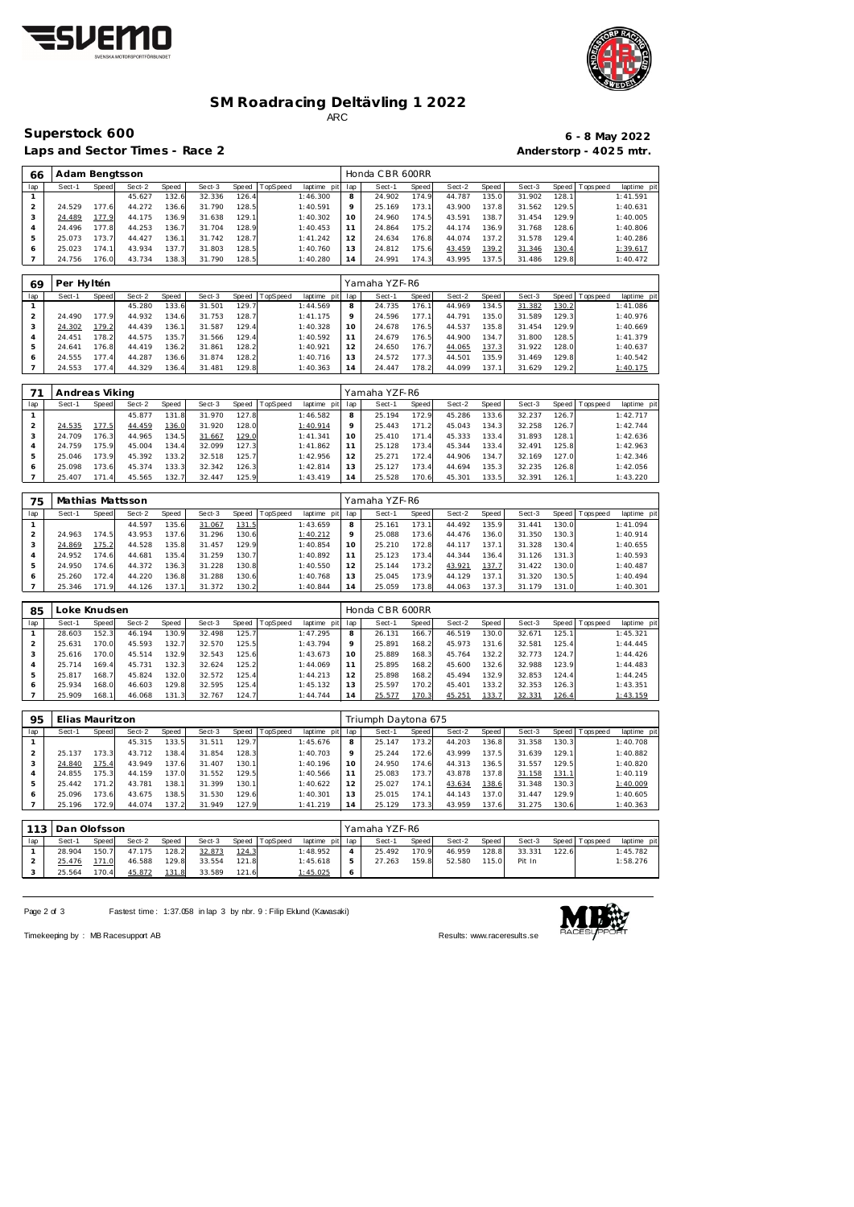



## **SM Roadracing Deltävling 1 2022** ARC

**Superstock 600** 

Laps and Sector Times - Race 2 **Anderstorp - 402 5 mtr.** 

|                        |  | $6 - 8$ May 2022 |
|------------------------|--|------------------|
| Anderstorp - 4025 mtr. |  |                  |

| 66  | Adam Bengtsson |       |        |       |        |       |          |                |                | Honda CBR 600RR |       |        |                    |        |       |            |            |
|-----|----------------|-------|--------|-------|--------|-------|----------|----------------|----------------|-----------------|-------|--------|--------------------|--------|-------|------------|------------|
| lap | Sect-1         | Speed | Sect-2 | Speed | Sect-3 | Speed | TopSpeed | laptime<br>pit | lap            | Sect-1          | Speed | Sect-2 | Speed              | Sect-3 | Speed | T ops peed | laptime pi |
|     |                |       | 45.627 | 132.6 | 32.336 | 126.4 |          | 1:46.300       | 8              | 24.902          | 174.9 | 44.787 | 135.0              | 31.902 | 128.1 |            | 1:41.591   |
|     | 24.529         | 177.6 | 44.272 | 136.6 | 31.790 | 128.5 |          | 1:40.591       | $\circ$        | 25.169          | 173.1 | 43.900 | 137.8              | 31.562 | 129.5 |            | 1:40.631   |
| 3   | 24.489         | 177.9 | 44.175 | 136.9 | 31.638 | 129.1 |          | 1:40.302       | 10             | 24.960          | 174.5 | 43.591 | 138.7 <sub>1</sub> | 31.454 | 129.9 |            | 1:40.005   |
|     | 24.496         | 177.8 | 44.253 | 136.7 | 31.704 | 128.9 |          | 1:40.453       |                | 24.864          | 175.2 | 44.174 | 136.9              | 31.768 | 128.6 |            | 1:40.806   |
| 5   | 25.073         | 173.7 | 44.427 | 136.1 | 31.742 | 128.7 |          | 1:41.242       | 12             | 24.634          | 176.8 | 44.074 | 137.21             | 31.578 | 129.4 |            | 1:40.286   |
| O   | 25.023         | 174.1 | 43.934 | 137.7 | 31.803 | 128.5 |          | 1:40.760       | ' 3            | 24.812          | 75.6  | 43.459 | 139.2              | 31.346 | 130.4 |            | 1:39.617   |
|     | 24.756         | 176.0 | 43.734 | 138.3 | 31.790 | 128.5 |          | 1:40.280       | $\overline{4}$ | 24.991          | 174.3 | 43.995 | 137.5              | 31.486 | 129.8 |            | 1:40.472   |

| 69  | Per Hyltén |              |        |       |        |              |          |             |     | Yamaha YZF-R6 |       |        |       |        |              |                 |             |
|-----|------------|--------------|--------|-------|--------|--------------|----------|-------------|-----|---------------|-------|--------|-------|--------|--------------|-----------------|-------------|
| lap | Sect-1     | <b>Speed</b> | Sect-2 | Speed | Sect-3 | <b>Speed</b> | TopSpeed | laptime pit | lap | Sect-1        | Speed | Sect-2 | Speed | Sect-3 |              | Speed Tops peed | laptime pit |
|     |            |              | 45.280 | 133.6 | 31.501 | 129.7        |          | 1:44.569    | 8   | 24.735        | 176.1 | 44.969 | 134.5 | 31.382 | <u>130.2</u> |                 | 1:41.086    |
|     | 24.490     | 177.9        | 44.932 | 134.6 | 31.753 | 128.7        |          | 1:41.175    |     | 24.596        | 177.7 | 44.791 | 135.0 | 31.589 | 129.3        |                 | 1:40.976    |
|     | 24.302     | 179.2        | 44.439 | 136.1 | 31.587 | 129.4        |          | 1:40.328    | 10  | 24.678        | 176.5 | 44.537 | 135.8 | 31.454 | 129.9        |                 | 1:40.669    |
|     | 24.451     | 178.2        | 44.575 | 135.7 | 31.566 | 129.4        |          | 1:40.592    |     | 24.679        | 176.5 | 44.900 | 134.7 | 31.800 | 128.5        |                 | 1:41.379    |
|     | 24.641     | 176.8        | 44.419 | 136.2 | 31.861 | 128.2        |          | 1:40.921    | 12  | 24.650        | 176.7 | 44.065 | 137.3 | 31.922 | 128.0        |                 | 1:40.637    |
| 6   | 24.555     | 177.4        | 44.287 | 136.6 | 31.874 | 128.2        |          | 1:40.716    | 13  | 24.572        | 177.3 | 44.501 | 135.9 | 31.469 | 129.8        |                 | 1:40.542    |
|     | 24.553     | 177.4        | 44.329 | 136.4 | 31.481 | 129.8        |          | 1:40.363    | 14  | 24.447        | 178.2 | 44.099 | 137.1 | 31.629 | 129.2        |                 | 1:40.175    |

|     | Andreas Viking |       |        |       |        |       |          |                |                 | Yamaha YZF-R6 |                 |        |       |        |       |                 |             |
|-----|----------------|-------|--------|-------|--------|-------|----------|----------------|-----------------|---------------|-----------------|--------|-------|--------|-------|-----------------|-------------|
| lap | Sect-1         | Speed | Sect-2 | Speed | Sect-3 | Speed | TopSpeed | laptime<br>pit | lap             | Sect-1        | Speed           | Sect-2 | Speed | Sect-3 |       | Speed Tops peed | laptime pit |
|     |                |       | 45.877 | 131.8 | 31.970 | 127.8 |          | 1:46.582       | 8               | 25.194        | 172.9           | 45.286 | 133.6 | 32.237 | 126.7 |                 | 1:42.717    |
|     | 24.535         | 177.5 | 44.459 | 136.0 | 31.920 | 128.0 |          | 1:40.914       |                 | 25.443        | 171.2           | 45.043 | 134.3 | 32.258 | 126.7 |                 | 1:42.744    |
|     | 24.709         | 176.3 | 44.965 | 134.5 | 31.667 | 129.0 |          | 1: 41.341      | 10              | 25.410        | 171<br>$\Delta$ | 45.333 | 133.4 | 31.893 | 128.1 |                 | 1:42.636    |
|     | 24.759         | 175.9 | 45.004 | 134.4 | 32.099 | 127.3 |          | 1:41.862       |                 | 25.128        | 173.4           | 45.344 | 133.4 | 32.491 | 125.8 |                 | 1:42.963    |
|     | 25.046         | 173.9 | 45.392 | 133.2 | 32.518 | 125.7 |          | 1:42.956       | 12 <sup>1</sup> | 25.271        | 172.4           | 44.906 | 134.7 | 32.169 | 127.0 |                 | 1:42.346    |
| 6   | 25.098         | 173.6 | 45.374 | 133.3 | 32.342 | 126.3 |          | 1:42.814       | 13 <sup>7</sup> | 25.127        | 173.4           | 44.694 | 135.3 | 32.235 | 126.8 |                 | 1:42.056    |
|     | 25.407         | 171.4 | 45.565 | 132.7 | 32.447 | 125.9 |          | 1:43.419       | 14              | 25.528        | 170.6           | 45.301 | 133.5 | 32.391 | 126.1 |                 | 1:43.220    |

| 75  | Mathias Mattsson. |       |        |       |        |       |          |                 |         | Yamaha YZF-R6 |       |            |       |        |       |                 |             |  |  |
|-----|-------------------|-------|--------|-------|--------|-------|----------|-----------------|---------|---------------|-------|------------|-------|--------|-------|-----------------|-------------|--|--|
| lap | Sect-1            | Speed | Sect-2 | Speed | Sect-3 | Speed | TopSpeed | laptime pit lap |         | Sect-1        | Speed | Sect-2     | Speed | Sect-3 |       | Speed Tops peed | laptime pit |  |  |
|     |                   |       | 44.597 | 135.6 | 31.067 | 131.5 |          | 1:43.659        | 8       | 25.161        | 173.1 | 44.492     | 135.9 | 31.441 | 130.0 |                 | 1:41.094    |  |  |
|     | 24.963            | 174.5 | 43.953 | 137.6 | 31.296 | 130.6 |          | 1:40.212        | $\circ$ | 25.088        | 173.6 | 44.476     | 136.0 | 31.350 | 130.3 |                 | 1:40.914    |  |  |
|     | 24.869            | 175.2 | 44.528 | 135.8 | 31.457 | 129.9 |          | 1:40.854        | 10      | 25.210        | 172.8 | 44.1<br>17 | 137.1 | 31.328 | 130.4 |                 | 1:40.655    |  |  |
|     | 24.952            | 174.6 | 44.681 | 135.4 | 31.259 | 130.7 |          | 1:40.892        | 11      | 25.123        | 173.4 | 44.344     | 136.4 | 31.126 | 131.3 |                 | 1:40.593    |  |  |
|     | 24.950            | 174.6 | 44.372 | 136.3 | 31.228 | 130.8 |          | 1:40.550        | 12      | 25.144        | 173.2 | 43.921     | 137.7 | 31.422 | 130.0 |                 | 1:40.487    |  |  |
| 6   | 25.260            | 172.4 | 44.220 | 136.8 | 31.288 | 130.6 |          | 1:40.768        | 13      | 25.045        | 173.9 | 44.129     | 137.1 | 31.320 | 130.5 |                 | 1:40.494    |  |  |
|     | 25.346            | 171.9 | 44.126 | 137.1 | 31.372 | 130.2 |          | 1:40.844        | 14      | 25.059        | 173.8 | 44.063     | 137.3 | 31.179 | 131.0 |                 | 1:40.301    |  |  |

| 85  | Loke Knudsen |       |        |       |        |       |          |             |         | Honda CBR 600RR |       |        |       |        |       |                 |             |  |  |
|-----|--------------|-------|--------|-------|--------|-------|----------|-------------|---------|-----------------|-------|--------|-------|--------|-------|-----------------|-------------|--|--|
| lap | Sect-1       | Speed | Sect-2 | Speed | Sect-3 | Speed | TopSpeed | laptime pit | lap     | Sect-1          | Speed | Sect-2 | Speed | Sect-3 |       | Speed Tops peed | laptime pit |  |  |
|     | 28.603       | 152.3 | 46.194 | 130.9 | 32.498 | 125.7 |          | 1:47.295    | 8       | 26.131          | 166.7 | 46.519 | 30.0  | 32.671 | 125.1 |                 | 1:45.321    |  |  |
|     | 25.631       | 170.0 | 45.593 | 132.7 | 32.570 | 125.5 |          | 1:43.794    | $\circ$ | 25.891          | 168.2 | 45.973 | 131.6 | 32.581 | 125.4 |                 | 1:44.445    |  |  |
|     | 25.616       | 170.0 | 45.514 | 132.9 | 32.543 | 125.6 |          | 1:43.673    |         | 25.889          | 168.3 | 45.764 | 132.2 | 32.773 | 124.7 |                 | 1:44.426    |  |  |
| 4   | 25.714       | 169.4 | 45.731 | 132.3 | 32.624 | 125.2 |          | 1:44.069    |         | 25.895          | 168.2 | 45.600 | 132.6 | 32.988 | 123.9 |                 | 1:44.483    |  |  |
| 5   | 25.817       | 168.7 | 45.824 | 132.0 | 32.572 | 125.4 |          | 1:44.213    |         | 25.898          | 168.2 | 45.494 | 132.9 | 32.853 | 124.4 |                 | 1:44.245    |  |  |
|     | 25.934       | 168.0 | 46.603 | 129.8 | 32.595 | 125.4 |          | 1:45.132    |         | 25.597          | 170.2 | 45.401 | 133.2 | 32.353 | 126.3 |                 | 1:43.351    |  |  |
|     | 25.909       | 168.1 | 46.068 | 131.3 | 32.767 | 124.7 |          | 1:44.744    | 14      | 25.577          | 170.3 | 45.251 | 133.7 | 32.331 | 126.4 |                 | 1:43.159    |  |  |

| 95  | Elias Mauritzon |       |        |       |        |                    |          |                 |         | Triumph Daytona 675 |              |        |        |        |        |                 |             |  |  |
|-----|-----------------|-------|--------|-------|--------|--------------------|----------|-----------------|---------|---------------------|--------------|--------|--------|--------|--------|-----------------|-------------|--|--|
| lap | Sect-1          | Speed | Sect-2 | Speed | Sect-3 | Speed              | TopSpeed | laptime<br>pitl | lap     | Sect-1              | <b>Speed</b> | Sect-2 | Speed  | Sect-3 |        | Speed Tops peed | laptime pit |  |  |
|     |                 |       | 45.315 | 133.5 | 31.511 | 129.7 <sub>1</sub> |          | 1:45.676        | 8       | 25.147              | 173.2        | 44.203 | 136.81 | 31.358 | 130.3  |                 | 1:40.708    |  |  |
|     | 25.137          | 173.3 | 43.712 | 138.4 | 31.854 | 128.3              |          | 1:40.703        | $\circ$ | 25.244              | 172.6        | 43.999 | 137.5  | 31.639 | 129.11 |                 | 1:40.882    |  |  |
|     | 24.840          | 175.4 | 43.949 | 137.6 | 31.407 | 130.1              |          | 1:40.196        |         | 24.950              | 174.6        | 44.313 | 136.5  | 31.557 | 129.5  |                 | 1:40.820    |  |  |
| 4   | 24.855          | 175.3 | 44.159 | 137.0 | 31.552 | 129.5              |          | 1:40.566        |         | 25.083              | 173.7        | 43.878 | 137.8  | 31.158 | 131.1  |                 | 1:40.119    |  |  |
| 5   | 25.442          | 171.2 | 43.781 | 138.1 | 31.399 | 130.1              |          | 1:40.622        |         | 25.027              | 174.1        | 43.634 | 138.6  | 31.348 | 130.3  |                 | 1:40.009    |  |  |
| O   | 25.096          | 173.6 | 43.675 | 138.5 | 31.530 | 129.6              |          | 1:40.301        | 3       | 25.015              | 174.1        | 44.143 | 137.0  | 31.447 | 129.9  |                 | 1:40.605    |  |  |
|     | 25.196          | 172.9 | 44.074 | 137.2 | 31.949 | 127.9              |          | 1:41.219        | 14      | 25.129              | 173.3        | 43.959 | 137.6  | 31.275 | 130.6  |                 | 1:40.363    |  |  |

|     | l 113   Dan Olofsson |       |        |       |        | Yamaha YZF-R6 |                |                 |   |        |              |        |       |        |       |                   |             |
|-----|----------------------|-------|--------|-------|--------|---------------|----------------|-----------------|---|--------|--------------|--------|-------|--------|-------|-------------------|-------------|
| lap | Sect-1               | Speed | Sect-2 | Speed | Sect-3 |               | Speed TopSpeed | laptime pit lap |   | Sect-1 | <b>Speed</b> | Sect-2 | Speed | Sect-3 |       | Speed   Tops peed | laptime pit |
|     | 28.904               | 150.7 | 47.175 | 128.2 | 32.873 | 124.3         |                | 1:48.952        | 4 | 25.492 | 170.9        | 46.959 | 128.8 | 33.331 | 122.6 |                   | 1:45.782    |
|     | 25.476               | 171.0 | 46.588 | 129.8 | 33.554 | 121.8         |                | 1:45.618        |   | 27.263 | 159.8        | 52.580 | 115.0 | Pit In |       |                   | 1:58.276    |
|     | 25.564               | 170.4 | 45.872 | 131.8 | 33.589 | 121.6         |                | 1:45.025        | Ô |        |              |        |       |        |       |                   |             |

Page 2 of 3 Fastest time : 1:37.058 in lap 3 by nbr. 9 : Filip Eklund (Kawasaki)



Timekeeping by : MB Racesupport AB Results:<www.raceresults.se>